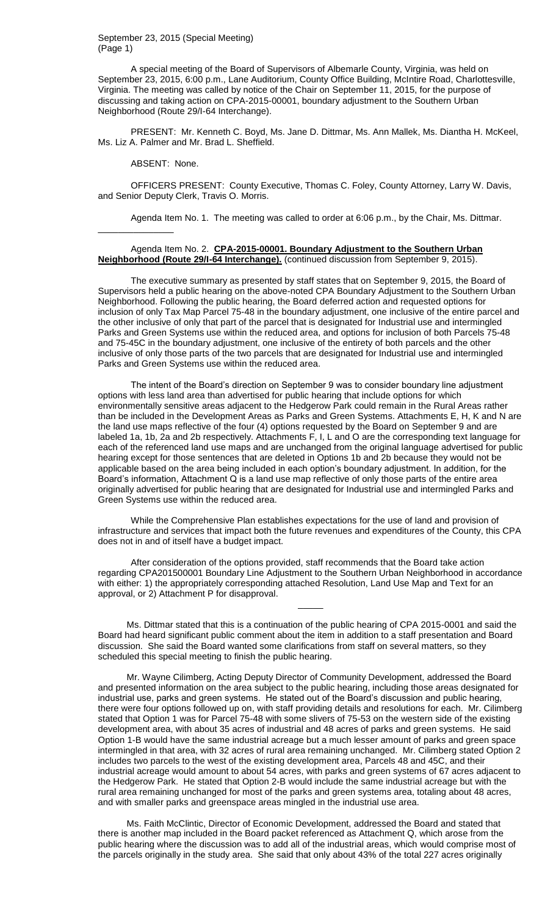September 23, 2015 (Special Meeting) (Page 1)

A special meeting of the Board of Supervisors of Albemarle County, Virginia, was held on September 23, 2015, 6:00 p.m., Lane Auditorium, County Office Building, McIntire Road, Charlottesville, Virginia. The meeting was called by notice of the Chair on September 11, 2015, for the purpose of discussing and taking action on CPA-2015-00001, boundary adjustment to the Southern Urban Neighborhood (Route 29/I-64 Interchange).

PRESENT: Mr. Kenneth C. Boyd, Ms. Jane D. Dittmar, Ms. Ann Mallek, Ms. Diantha H. McKeel, Ms. Liz A. Palmer and Mr. Brad L. Sheffield.

ABSENT: None.

\_\_\_\_\_\_\_\_\_\_\_\_\_\_\_

OFFICERS PRESENT: County Executive, Thomas C. Foley, County Attorney, Larry W. Davis, and Senior Deputy Clerk, Travis O. Morris.

Agenda Item No. 1. The meeting was called to order at 6:06 p.m., by the Chair, Ms. Dittmar.

# Agenda Item No. 2. **CPA-2015-00001. Boundary Adjustment to the Southern Urban Neighborhood (Route 29/I-64 Interchange).** (continued discussion from September 9, 2015).

The executive summary as presented by staff states that on September 9, 2015, the Board of Supervisors held a public hearing on the above-noted CPA Boundary Adjustment to the Southern Urban Neighborhood. Following the public hearing, the Board deferred action and requested options for inclusion of only Tax Map Parcel 75-48 in the boundary adjustment, one inclusive of the entire parcel and the other inclusive of only that part of the parcel that is designated for Industrial use and intermingled Parks and Green Systems use within the reduced area, and options for inclusion of both Parcels 75-48 and 75-45C in the boundary adjustment, one inclusive of the entirety of both parcels and the other inclusive of only those parts of the two parcels that are designated for Industrial use and intermingled Parks and Green Systems use within the reduced area.

The intent of the Board's direction on September 9 was to consider boundary line adjustment options with less land area than advertised for public hearing that include options for which environmentally sensitive areas adjacent to the Hedgerow Park could remain in the Rural Areas rather than be included in the Development Areas as Parks and Green Systems. Attachments E, H, K and N are the land use maps reflective of the four (4) options requested by the Board on September 9 and are labeled 1a, 1b, 2a and 2b respectively. Attachments F, I, L and O are the corresponding text language for each of the referenced land use maps and are unchanged from the original language advertised for public hearing except for those sentences that are deleted in Options 1b and 2b because they would not be applicable based on the area being included in each option's boundary adjustment. In addition, for the Board's information, Attachment Q is a land use map reflective of only those parts of the entire area originally advertised for public hearing that are designated for Industrial use and intermingled Parks and Green Systems use within the reduced area.

While the Comprehensive Plan establishes expectations for the use of land and provision of infrastructure and services that impact both the future revenues and expenditures of the County, this CPA does not in and of itself have a budget impact.

After consideration of the options provided, staff recommends that the Board take action regarding CPA201500001 Boundary Line Adjustment to the Southern Urban Neighborhood in accordance with either: 1) the appropriately corresponding attached Resolution, Land Use Map and Text for an approval, or 2) Attachment P for disapproval.

 $\overline{\phantom{a}}$ 

Ms. Dittmar stated that this is a continuation of the public hearing of CPA 2015-0001 and said the Board had heard significant public comment about the item in addition to a staff presentation and Board discussion. She said the Board wanted some clarifications from staff on several matters, so they scheduled this special meeting to finish the public hearing.

Mr. Wayne Cilimberg, Acting Deputy Director of Community Development, addressed the Board and presented information on the area subject to the public hearing, including those areas designated for industrial use, parks and green systems. He stated out of the Board's discussion and public hearing, there were four options followed up on, with staff providing details and resolutions for each. Mr. Cilimberg stated that Option 1 was for Parcel 75-48 with some slivers of 75-53 on the western side of the existing development area, with about 35 acres of industrial and 48 acres of parks and green systems. He said Option 1-B would have the same industrial acreage but a much lesser amount of parks and green space intermingled in that area, with 32 acres of rural area remaining unchanged. Mr. Cilimberg stated Option 2 includes two parcels to the west of the existing development area, Parcels 48 and 45C, and their industrial acreage would amount to about 54 acres, with parks and green systems of 67 acres adjacent to the Hedgerow Park. He stated that Option 2-B would include the same industrial acreage but with the rural area remaining unchanged for most of the parks and green systems area, totaling about 48 acres, and with smaller parks and greenspace areas mingled in the industrial use area.

Ms. Faith McClintic, Director of Economic Development, addressed the Board and stated that there is another map included in the Board packet referenced as Attachment Q, which arose from the public hearing where the discussion was to add all of the industrial areas, which would comprise most of the parcels originally in the study area. She said that only about 43% of the total 227 acres originally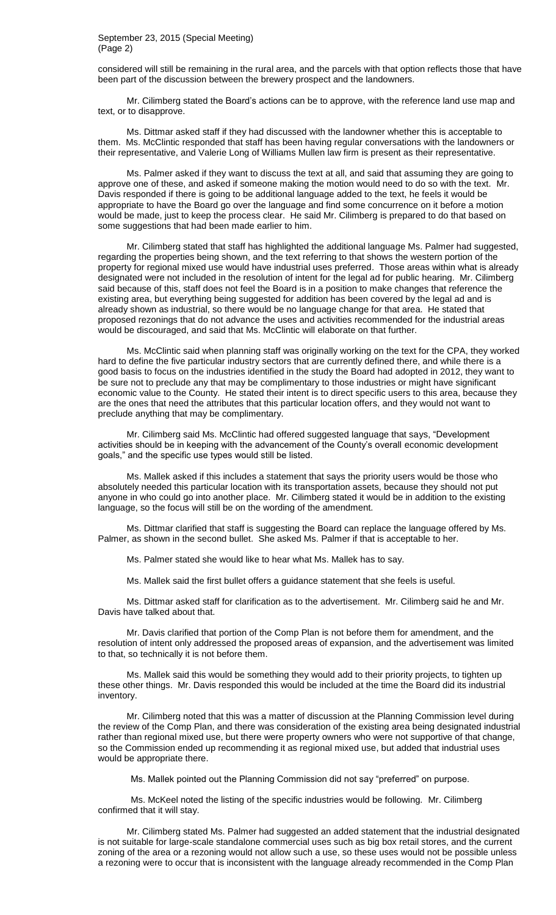#### September 23, 2015 (Special Meeting) (Page 2)

considered will still be remaining in the rural area, and the parcels with that option reflects those that have been part of the discussion between the brewery prospect and the landowners.

Mr. Cilimberg stated the Board's actions can be to approve, with the reference land use map and text, or to disapprove.

Ms. Dittmar asked staff if they had discussed with the landowner whether this is acceptable to them. Ms. McClintic responded that staff has been having regular conversations with the landowners or their representative, and Valerie Long of Williams Mullen law firm is present as their representative.

Ms. Palmer asked if they want to discuss the text at all, and said that assuming they are going to approve one of these, and asked if someone making the motion would need to do so with the text. Mr. Davis responded if there is going to be additional language added to the text, he feels it would be appropriate to have the Board go over the language and find some concurrence on it before a motion would be made, just to keep the process clear. He said Mr. Cilimberg is prepared to do that based on some suggestions that had been made earlier to him.

Mr. Cilimberg stated that staff has highlighted the additional language Ms. Palmer had suggested, regarding the properties being shown, and the text referring to that shows the western portion of the property for regional mixed use would have industrial uses preferred. Those areas within what is already designated were not included in the resolution of intent for the legal ad for public hearing. Mr. Cilimberg said because of this, staff does not feel the Board is in a position to make changes that reference the existing area, but everything being suggested for addition has been covered by the legal ad and is already shown as industrial, so there would be no language change for that area. He stated that proposed rezonings that do not advance the uses and activities recommended for the industrial areas would be discouraged, and said that Ms. McClintic will elaborate on that further.

Ms. McClintic said when planning staff was originally working on the text for the CPA, they worked hard to define the five particular industry sectors that are currently defined there, and while there is a good basis to focus on the industries identified in the study the Board had adopted in 2012, they want to be sure not to preclude any that may be complimentary to those industries or might have significant economic value to the County. He stated their intent is to direct specific users to this area, because they are the ones that need the attributes that this particular location offers, and they would not want to preclude anything that may be complimentary.

Mr. Cilimberg said Ms. McClintic had offered suggested language that says, "Development activities should be in keeping with the advancement of the County's overall economic development goals," and the specific use types would still be listed.

Ms. Mallek asked if this includes a statement that says the priority users would be those who absolutely needed this particular location with its transportation assets, because they should not put anyone in who could go into another place. Mr. Cilimberg stated it would be in addition to the existing language, so the focus will still be on the wording of the amendment.

Ms. Dittmar clarified that staff is suggesting the Board can replace the language offered by Ms. Palmer, as shown in the second bullet. She asked Ms. Palmer if that is acceptable to her.

Ms. Palmer stated she would like to hear what Ms. Mallek has to say.

Ms. Mallek said the first bullet offers a guidance statement that she feels is useful.

Ms. Dittmar asked staff for clarification as to the advertisement. Mr. Cilimberg said he and Mr. Davis have talked about that.

Mr. Davis clarified that portion of the Comp Plan is not before them for amendment, and the resolution of intent only addressed the proposed areas of expansion, and the advertisement was limited to that, so technically it is not before them.

Ms. Mallek said this would be something they would add to their priority projects, to tighten up these other things. Mr. Davis responded this would be included at the time the Board did its industrial inventory.

Mr. Cilimberg noted that this was a matter of discussion at the Planning Commission level during the review of the Comp Plan, and there was consideration of the existing area being designated industrial rather than regional mixed use, but there were property owners who were not supportive of that change, so the Commission ended up recommending it as regional mixed use, but added that industrial uses would be appropriate there.

Ms. Mallek pointed out the Planning Commission did not say "preferred" on purpose.

Ms. McKeel noted the listing of the specific industries would be following. Mr. Cilimberg confirmed that it will stay.

Mr. Cilimberg stated Ms. Palmer had suggested an added statement that the industrial designated is not suitable for large-scale standalone commercial uses such as big box retail stores, and the current zoning of the area or a rezoning would not allow such a use, so these uses would not be possible unless a rezoning were to occur that is inconsistent with the language already recommended in the Comp Plan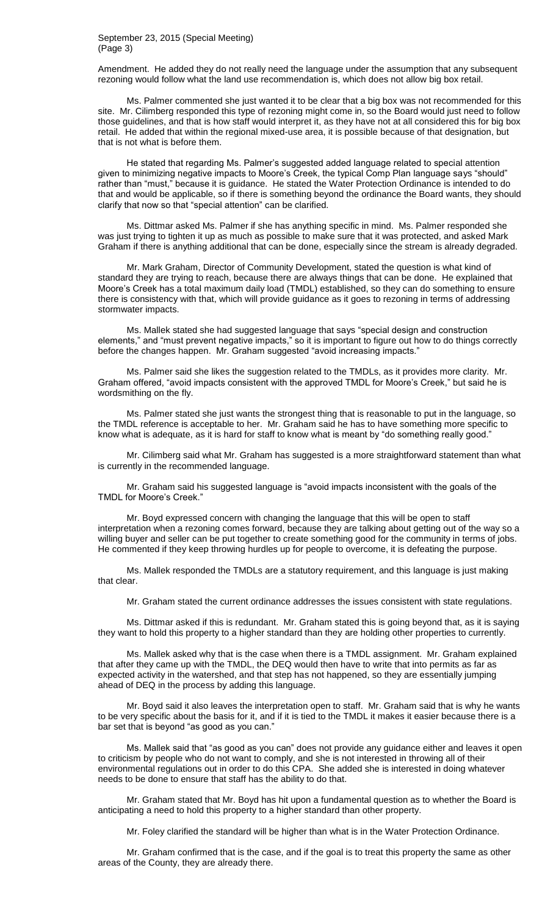September 23, 2015 (Special Meeting) (Page 3)

Amendment. He added they do not really need the language under the assumption that any subsequent rezoning would follow what the land use recommendation is, which does not allow big box retail.

Ms. Palmer commented she just wanted it to be clear that a big box was not recommended for this site. Mr. Cilimberg responded this type of rezoning might come in, so the Board would just need to follow those guidelines, and that is how staff would interpret it, as they have not at all considered this for big box retail. He added that within the regional mixed-use area, it is possible because of that designation, but that is not what is before them.

He stated that regarding Ms. Palmer's suggested added language related to special attention given to minimizing negative impacts to Moore's Creek, the typical Comp Plan language says "should" rather than "must," because it is guidance. He stated the Water Protection Ordinance is intended to do that and would be applicable, so if there is something beyond the ordinance the Board wants, they should clarify that now so that "special attention" can be clarified.

Ms. Dittmar asked Ms. Palmer if she has anything specific in mind. Ms. Palmer responded she was just trying to tighten it up as much as possible to make sure that it was protected, and asked Mark Graham if there is anything additional that can be done, especially since the stream is already degraded.

Mr. Mark Graham, Director of Community Development, stated the question is what kind of standard they are trying to reach, because there are always things that can be done. He explained that Moore's Creek has a total maximum daily load (TMDL) established, so they can do something to ensure there is consistency with that, which will provide guidance as it goes to rezoning in terms of addressing stormwater impacts.

Ms. Mallek stated she had suggested language that says "special design and construction elements," and "must prevent negative impacts," so it is important to figure out how to do things correctly before the changes happen. Mr. Graham suggested "avoid increasing impacts."

Ms. Palmer said she likes the suggestion related to the TMDLs, as it provides more clarity. Mr. Graham offered, "avoid impacts consistent with the approved TMDL for Moore's Creek," but said he is wordsmithing on the fly.

Ms. Palmer stated she just wants the strongest thing that is reasonable to put in the language, so the TMDL reference is acceptable to her. Mr. Graham said he has to have something more specific to know what is adequate, as it is hard for staff to know what is meant by "do something really good."

Mr. Cilimberg said what Mr. Graham has suggested is a more straightforward statement than what is currently in the recommended language.

Mr. Graham said his suggested language is "avoid impacts inconsistent with the goals of the TMDL for Moore's Creek."

Mr. Boyd expressed concern with changing the language that this will be open to staff interpretation when a rezoning comes forward, because they are talking about getting out of the way so a willing buyer and seller can be put together to create something good for the community in terms of jobs. He commented if they keep throwing hurdles up for people to overcome, it is defeating the purpose.

Ms. Mallek responded the TMDLs are a statutory requirement, and this language is just making that clear.

Mr. Graham stated the current ordinance addresses the issues consistent with state regulations.

Ms. Dittmar asked if this is redundant. Mr. Graham stated this is going beyond that, as it is saying they want to hold this property to a higher standard than they are holding other properties to currently.

Ms. Mallek asked why that is the case when there is a TMDL assignment. Mr. Graham explained that after they came up with the TMDL, the DEQ would then have to write that into permits as far as expected activity in the watershed, and that step has not happened, so they are essentially jumping ahead of DEQ in the process by adding this language.

Mr. Boyd said it also leaves the interpretation open to staff. Mr. Graham said that is why he wants to be very specific about the basis for it, and if it is tied to the TMDL it makes it easier because there is a bar set that is beyond "as good as you can."

Ms. Mallek said that "as good as you can" does not provide any guidance either and leaves it open to criticism by people who do not want to comply, and she is not interested in throwing all of their environmental regulations out in order to do this CPA. She added she is interested in doing whatever needs to be done to ensure that staff has the ability to do that.

Mr. Graham stated that Mr. Boyd has hit upon a fundamental question as to whether the Board is anticipating a need to hold this property to a higher standard than other property.

Mr. Foley clarified the standard will be higher than what is in the Water Protection Ordinance.

Mr. Graham confirmed that is the case, and if the goal is to treat this property the same as other areas of the County, they are already there.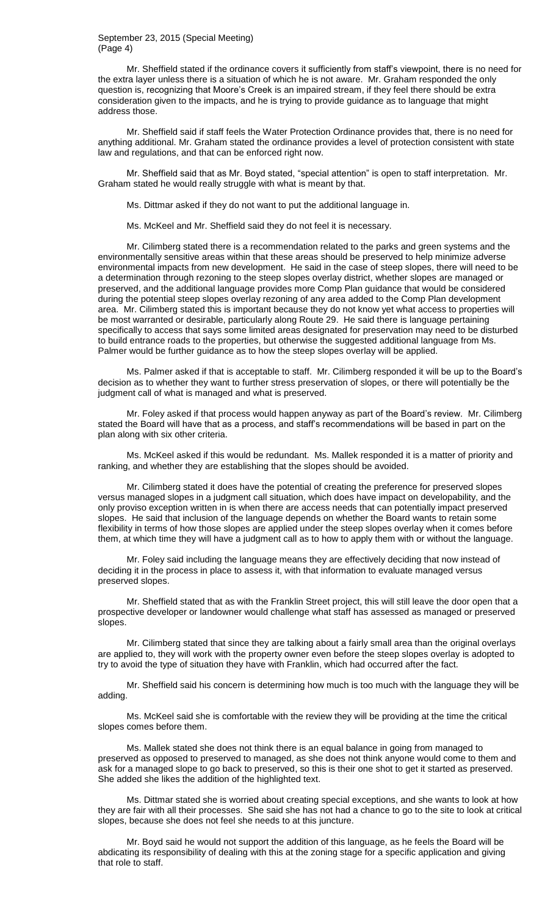#### September 23, 2015 (Special Meeting) (Page 4)

Mr. Sheffield stated if the ordinance covers it sufficiently from staff's viewpoint, there is no need for the extra layer unless there is a situation of which he is not aware. Mr. Graham responded the only question is, recognizing that Moore's Creek is an impaired stream, if they feel there should be extra consideration given to the impacts, and he is trying to provide guidance as to language that might address those.

Mr. Sheffield said if staff feels the Water Protection Ordinance provides that, there is no need for anything additional. Mr. Graham stated the ordinance provides a level of protection consistent with state law and regulations, and that can be enforced right now.

Mr. Sheffield said that as Mr. Boyd stated, "special attention" is open to staff interpretation. Mr. Graham stated he would really struggle with what is meant by that.

Ms. Dittmar asked if they do not want to put the additional language in.

Ms. McKeel and Mr. Sheffield said they do not feel it is necessary.

Mr. Cilimberg stated there is a recommendation related to the parks and green systems and the environmentally sensitive areas within that these areas should be preserved to help minimize adverse environmental impacts from new development. He said in the case of steep slopes, there will need to be a determination through rezoning to the steep slopes overlay district, whether slopes are managed or preserved, and the additional language provides more Comp Plan guidance that would be considered during the potential steep slopes overlay rezoning of any area added to the Comp Plan development area. Mr. Cilimberg stated this is important because they do not know yet what access to properties will be most warranted or desirable, particularly along Route 29. He said there is language pertaining specifically to access that says some limited areas designated for preservation may need to be disturbed to build entrance roads to the properties, but otherwise the suggested additional language from Ms. Palmer would be further guidance as to how the steep slopes overlay will be applied.

Ms. Palmer asked if that is acceptable to staff. Mr. Cilimberg responded it will be up to the Board's decision as to whether they want to further stress preservation of slopes, or there will potentially be the judgment call of what is managed and what is preserved.

Mr. Foley asked if that process would happen anyway as part of the Board's review. Mr. Cilimberg stated the Board will have that as a process, and staff's recommendations will be based in part on the plan along with six other criteria.

Ms. McKeel asked if this would be redundant. Ms. Mallek responded it is a matter of priority and ranking, and whether they are establishing that the slopes should be avoided.

Mr. Cilimberg stated it does have the potential of creating the preference for preserved slopes versus managed slopes in a judgment call situation, which does have impact on developability, and the only proviso exception written in is when there are access needs that can potentially impact preserved slopes. He said that inclusion of the language depends on whether the Board wants to retain some flexibility in terms of how those slopes are applied under the steep slopes overlay when it comes before them, at which time they will have a judgment call as to how to apply them with or without the language.

Mr. Foley said including the language means they are effectively deciding that now instead of deciding it in the process in place to assess it, with that information to evaluate managed versus preserved slopes.

Mr. Sheffield stated that as with the Franklin Street project, this will still leave the door open that a prospective developer or landowner would challenge what staff has assessed as managed or preserved slopes.

Mr. Cilimberg stated that since they are talking about a fairly small area than the original overlays are applied to, they will work with the property owner even before the steep slopes overlay is adopted to try to avoid the type of situation they have with Franklin, which had occurred after the fact.

Mr. Sheffield said his concern is determining how much is too much with the language they will be adding.

Ms. McKeel said she is comfortable with the review they will be providing at the time the critical slopes comes before them.

Ms. Mallek stated she does not think there is an equal balance in going from managed to preserved as opposed to preserved to managed, as she does not think anyone would come to them and ask for a managed slope to go back to preserved, so this is their one shot to get it started as preserved. She added she likes the addition of the highlighted text.

Ms. Dittmar stated she is worried about creating special exceptions, and she wants to look at how they are fair with all their processes. She said she has not had a chance to go to the site to look at critical slopes, because she does not feel she needs to at this juncture.

Mr. Boyd said he would not support the addition of this language, as he feels the Board will be abdicating its responsibility of dealing with this at the zoning stage for a specific application and giving that role to staff.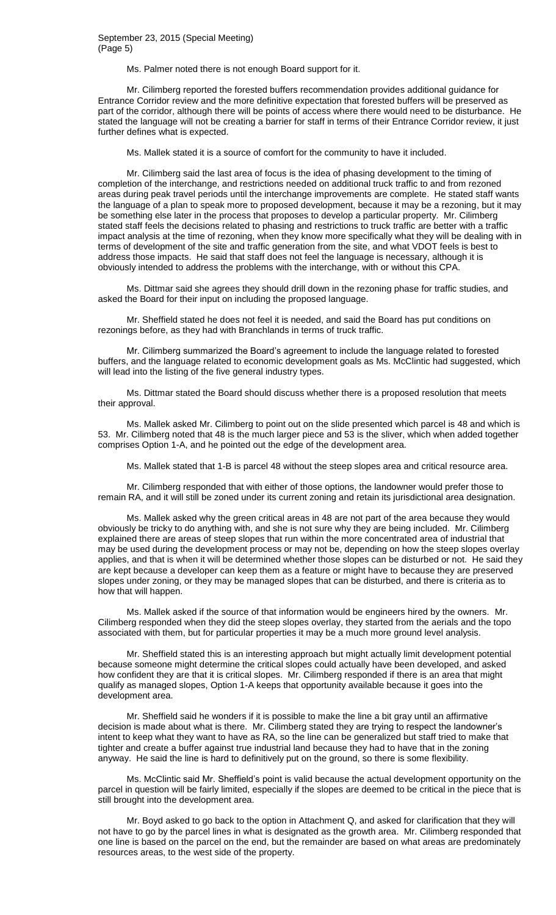#### September 23, 2015 (Special Meeting) (Page 5)

Ms. Palmer noted there is not enough Board support for it.

Mr. Cilimberg reported the forested buffers recommendation provides additional guidance for Entrance Corridor review and the more definitive expectation that forested buffers will be preserved as part of the corridor, although there will be points of access where there would need to be disturbance. He stated the language will not be creating a barrier for staff in terms of their Entrance Corridor review, it just further defines what is expected.

Ms. Mallek stated it is a source of comfort for the community to have it included.

Mr. Cilimberg said the last area of focus is the idea of phasing development to the timing of completion of the interchange, and restrictions needed on additional truck traffic to and from rezoned areas during peak travel periods until the interchange improvements are complete. He stated staff wants the language of a plan to speak more to proposed development, because it may be a rezoning, but it may be something else later in the process that proposes to develop a particular property. Mr. Cilimberg stated staff feels the decisions related to phasing and restrictions to truck traffic are better with a traffic impact analysis at the time of rezoning, when they know more specifically what they will be dealing with in terms of development of the site and traffic generation from the site, and what VDOT feels is best to address those impacts. He said that staff does not feel the language is necessary, although it is obviously intended to address the problems with the interchange, with or without this CPA.

Ms. Dittmar said she agrees they should drill down in the rezoning phase for traffic studies, and asked the Board for their input on including the proposed language.

Mr. Sheffield stated he does not feel it is needed, and said the Board has put conditions on rezonings before, as they had with Branchlands in terms of truck traffic.

Mr. Cilimberg summarized the Board's agreement to include the language related to forested buffers, and the language related to economic development goals as Ms. McClintic had suggested, which will lead into the listing of the five general industry types.

Ms. Dittmar stated the Board should discuss whether there is a proposed resolution that meets their approval.

Ms. Mallek asked Mr. Cilimberg to point out on the slide presented which parcel is 48 and which is 53. Mr. Cilimberg noted that 48 is the much larger piece and 53 is the sliver, which when added together comprises Option 1-A, and he pointed out the edge of the development area.

Ms. Mallek stated that 1-B is parcel 48 without the steep slopes area and critical resource area.

Mr. Cilimberg responded that with either of those options, the landowner would prefer those to remain RA, and it will still be zoned under its current zoning and retain its jurisdictional area designation.

Ms. Mallek asked why the green critical areas in 48 are not part of the area because they would obviously be tricky to do anything with, and she is not sure why they are being included. Mr. Cilimberg explained there are areas of steep slopes that run within the more concentrated area of industrial that may be used during the development process or may not be, depending on how the steep slopes overlay applies, and that is when it will be determined whether those slopes can be disturbed or not. He said they are kept because a developer can keep them as a feature or might have to because they are preserved slopes under zoning, or they may be managed slopes that can be disturbed, and there is criteria as to how that will happen.

Ms. Mallek asked if the source of that information would be engineers hired by the owners. Mr. Cilimberg responded when they did the steep slopes overlay, they started from the aerials and the topo associated with them, but for particular properties it may be a much more ground level analysis.

Mr. Sheffield stated this is an interesting approach but might actually limit development potential because someone might determine the critical slopes could actually have been developed, and asked how confident they are that it is critical slopes. Mr. Cilimberg responded if there is an area that might qualify as managed slopes, Option 1-A keeps that opportunity available because it goes into the development area.

Mr. Sheffield said he wonders if it is possible to make the line a bit gray until an affirmative decision is made about what is there. Mr. Cilimberg stated they are trying to respect the landowner's intent to keep what they want to have as RA, so the line can be generalized but staff tried to make that tighter and create a buffer against true industrial land because they had to have that in the zoning anyway. He said the line is hard to definitively put on the ground, so there is some flexibility.

Ms. McClintic said Mr. Sheffield's point is valid because the actual development opportunity on the parcel in question will be fairly limited, especially if the slopes are deemed to be critical in the piece that is still brought into the development area.

Mr. Boyd asked to go back to the option in Attachment Q, and asked for clarification that they will not have to go by the parcel lines in what is designated as the growth area. Mr. Cilimberg responded that one line is based on the parcel on the end, but the remainder are based on what areas are predominately resources areas, to the west side of the property.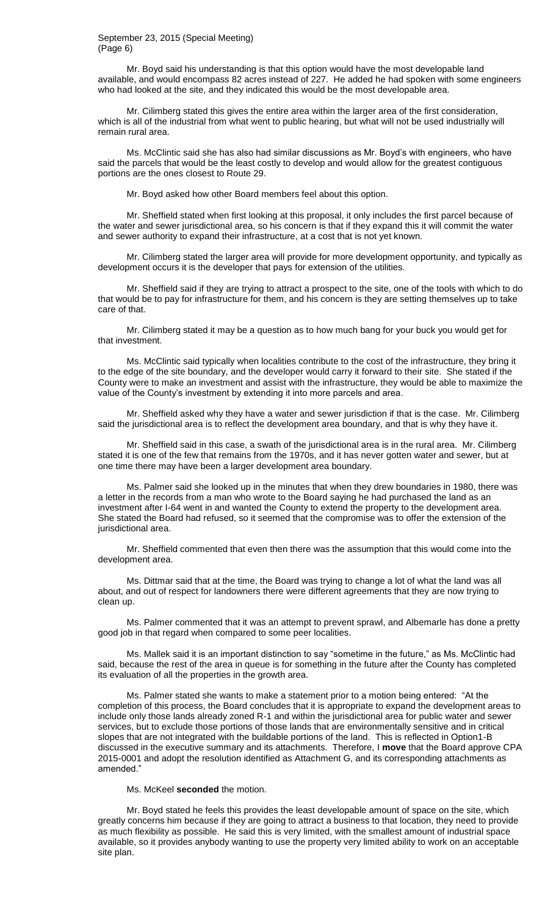#### September 23, 2015 (Special Meeting) (Page 6)

Mr. Boyd said his understanding is that this option would have the most developable land available, and would encompass 82 acres instead of 227. He added he had spoken with some engineers who had looked at the site, and they indicated this would be the most developable area.

Mr. Cilimberg stated this gives the entire area within the larger area of the first consideration, which is all of the industrial from what went to public hearing, but what will not be used industrially will remain rural area.

Ms. McClintic said she has also had similar discussions as Mr. Boyd's with engineers, who have said the parcels that would be the least costly to develop and would allow for the greatest contiguous portions are the ones closest to Route 29.

Mr. Boyd asked how other Board members feel about this option.

Mr. Sheffield stated when first looking at this proposal, it only includes the first parcel because of the water and sewer jurisdictional area, so his concern is that if they expand this it will commit the water and sewer authority to expand their infrastructure, at a cost that is not yet known.

Mr. Cilimberg stated the larger area will provide for more development opportunity, and typically as development occurs it is the developer that pays for extension of the utilities.

Mr. Sheffield said if they are trying to attract a prospect to the site, one of the tools with which to do that would be to pay for infrastructure for them, and his concern is they are setting themselves up to take care of that.

Mr. Cilimberg stated it may be a question as to how much bang for your buck you would get for that investment.

Ms. McClintic said typically when localities contribute to the cost of the infrastructure, they bring it to the edge of the site boundary, and the developer would carry it forward to their site. She stated if the County were to make an investment and assist with the infrastructure, they would be able to maximize the value of the County's investment by extending it into more parcels and area.

Mr. Sheffield asked why they have a water and sewer jurisdiction if that is the case. Mr. Cilimberg said the jurisdictional area is to reflect the development area boundary, and that is why they have it.

Mr. Sheffield said in this case, a swath of the jurisdictional area is in the rural area. Mr. Cilimberg stated it is one of the few that remains from the 1970s, and it has never gotten water and sewer, but at one time there may have been a larger development area boundary.

Ms. Palmer said she looked up in the minutes that when they drew boundaries in 1980, there was a letter in the records from a man who wrote to the Board saying he had purchased the land as an investment after I-64 went in and wanted the County to extend the property to the development area. She stated the Board had refused, so it seemed that the compromise was to offer the extension of the jurisdictional area.

Mr. Sheffield commented that even then there was the assumption that this would come into the development area.

Ms. Dittmar said that at the time, the Board was trying to change a lot of what the land was all about, and out of respect for landowners there were different agreements that they are now trying to clean up.

Ms. Palmer commented that it was an attempt to prevent sprawl, and Albemarle has done a pretty good job in that regard when compared to some peer localities.

Ms. Mallek said it is an important distinction to say "sometime in the future," as Ms. McClintic had said, because the rest of the area in queue is for something in the future after the County has completed its evaluation of all the properties in the growth area.

Ms. Palmer stated she wants to make a statement prior to a motion being entered: "At the completion of this process, the Board concludes that it is appropriate to expand the development areas to include only those lands already zoned R-1 and within the jurisdictional area for public water and sewer services, but to exclude those portions of those lands that are environmentally sensitive and in critical slopes that are not integrated with the buildable portions of the land. This is reflected in Option1-B discussed in the executive summary and its attachments. Therefore, I **move** that the Board approve CPA 2015-0001 and adopt the resolution identified as Attachment G, and its corresponding attachments as amended."

Ms. McKeel **seconded** the motion.

Mr. Boyd stated he feels this provides the least developable amount of space on the site, which greatly concerns him because if they are going to attract a business to that location, they need to provide as much flexibility as possible. He said this is very limited, with the smallest amount of industrial space available, so it provides anybody wanting to use the property very limited ability to work on an acceptable site plan.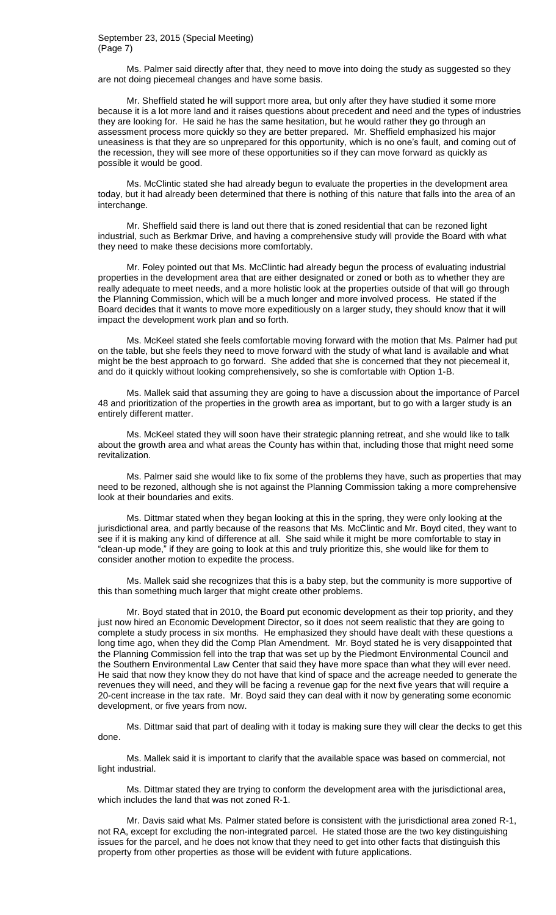# September 23, 2015 (Special Meeting) (Page 7)

Ms. Palmer said directly after that, they need to move into doing the study as suggested so they are not doing piecemeal changes and have some basis.

Mr. Sheffield stated he will support more area, but only after they have studied it some more because it is a lot more land and it raises questions about precedent and need and the types of industries they are looking for. He said he has the same hesitation, but he would rather they go through an assessment process more quickly so they are better prepared. Mr. Sheffield emphasized his major uneasiness is that they are so unprepared for this opportunity, which is no one's fault, and coming out of the recession, they will see more of these opportunities so if they can move forward as quickly as possible it would be good.

Ms. McClintic stated she had already begun to evaluate the properties in the development area today, but it had already been determined that there is nothing of this nature that falls into the area of an interchange.

Mr. Sheffield said there is land out there that is zoned residential that can be rezoned light industrial, such as Berkmar Drive, and having a comprehensive study will provide the Board with what they need to make these decisions more comfortably.

Mr. Foley pointed out that Ms. McClintic had already begun the process of evaluating industrial properties in the development area that are either designated or zoned or both as to whether they are really adequate to meet needs, and a more holistic look at the properties outside of that will go through the Planning Commission, which will be a much longer and more involved process. He stated if the Board decides that it wants to move more expeditiously on a larger study, they should know that it will impact the development work plan and so forth.

Ms. McKeel stated she feels comfortable moving forward with the motion that Ms. Palmer had put on the table, but she feels they need to move forward with the study of what land is available and what might be the best approach to go forward. She added that she is concerned that they not piecemeal it, and do it quickly without looking comprehensively, so she is comfortable with Option 1-B.

Ms. Mallek said that assuming they are going to have a discussion about the importance of Parcel 48 and prioritization of the properties in the growth area as important, but to go with a larger study is an entirely different matter.

Ms. McKeel stated they will soon have their strategic planning retreat, and she would like to talk about the growth area and what areas the County has within that, including those that might need some revitalization.

Ms. Palmer said she would like to fix some of the problems they have, such as properties that may need to be rezoned, although she is not against the Planning Commission taking a more comprehensive look at their boundaries and exits.

Ms. Dittmar stated when they began looking at this in the spring, they were only looking at the jurisdictional area, and partly because of the reasons that Ms. McClintic and Mr. Boyd cited, they want to see if it is making any kind of difference at all. She said while it might be more comfortable to stay in "clean-up mode," if they are going to look at this and truly prioritize this, she would like for them to consider another motion to expedite the process.

Ms. Mallek said she recognizes that this is a baby step, but the community is more supportive of this than something much larger that might create other problems.

Mr. Boyd stated that in 2010, the Board put economic development as their top priority, and they just now hired an Economic Development Director, so it does not seem realistic that they are going to complete a study process in six months. He emphasized they should have dealt with these questions a long time ago, when they did the Comp Plan Amendment. Mr. Boyd stated he is very disappointed that the Planning Commission fell into the trap that was set up by the Piedmont Environmental Council and the Southern Environmental Law Center that said they have more space than what they will ever need. He said that now they know they do not have that kind of space and the acreage needed to generate the revenues they will need, and they will be facing a revenue gap for the next five years that will require a 20-cent increase in the tax rate. Mr. Boyd said they can deal with it now by generating some economic development, or five years from now.

Ms. Dittmar said that part of dealing with it today is making sure they will clear the decks to get this done.

Ms. Mallek said it is important to clarify that the available space was based on commercial, not light industrial.

Ms. Dittmar stated they are trying to conform the development area with the jurisdictional area, which includes the land that was not zoned R-1.

Mr. Davis said what Ms. Palmer stated before is consistent with the jurisdictional area zoned R-1, not RA, except for excluding the non-integrated parcel. He stated those are the two key distinguishing issues for the parcel, and he does not know that they need to get into other facts that distinguish this property from other properties as those will be evident with future applications.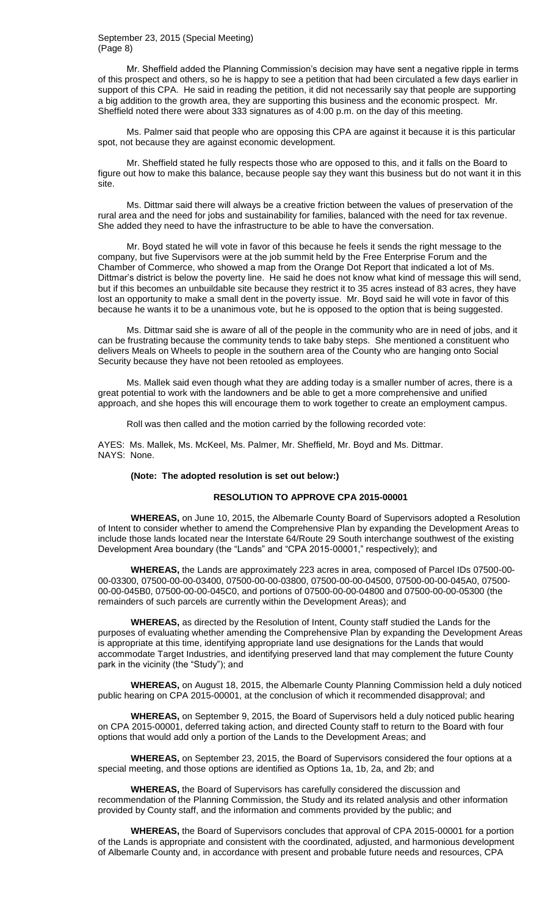### September 23, 2015 (Special Meeting) (Page 8)

Mr. Sheffield added the Planning Commission's decision may have sent a negative ripple in terms of this prospect and others, so he is happy to see a petition that had been circulated a few days earlier in support of this CPA. He said in reading the petition, it did not necessarily say that people are supporting a big addition to the growth area, they are supporting this business and the economic prospect. Mr. Sheffield noted there were about 333 signatures as of 4:00 p.m. on the day of this meeting.

Ms. Palmer said that people who are opposing this CPA are against it because it is this particular spot, not because they are against economic development.

Mr. Sheffield stated he fully respects those who are opposed to this, and it falls on the Board to figure out how to make this balance, because people say they want this business but do not want it in this site.

Ms. Dittmar said there will always be a creative friction between the values of preservation of the rural area and the need for jobs and sustainability for families, balanced with the need for tax revenue. She added they need to have the infrastructure to be able to have the conversation.

Mr. Boyd stated he will vote in favor of this because he feels it sends the right message to the company, but five Supervisors were at the job summit held by the Free Enterprise Forum and the Chamber of Commerce, who showed a map from the Orange Dot Report that indicated a lot of Ms. Dittmar's district is below the poverty line. He said he does not know what kind of message this will send, but if this becomes an unbuildable site because they restrict it to 35 acres instead of 83 acres, they have lost an opportunity to make a small dent in the poverty issue. Mr. Boyd said he will vote in favor of this because he wants it to be a unanimous vote, but he is opposed to the option that is being suggested.

Ms. Dittmar said she is aware of all of the people in the community who are in need of jobs, and it can be frustrating because the community tends to take baby steps. She mentioned a constituent who delivers Meals on Wheels to people in the southern area of the County who are hanging onto Social Security because they have not been retooled as employees.

Ms. Mallek said even though what they are adding today is a smaller number of acres, there is a great potential to work with the landowners and be able to get a more comprehensive and unified approach, and she hopes this will encourage them to work together to create an employment campus.

Roll was then called and the motion carried by the following recorded vote:

AYES: Ms. Mallek, Ms. McKeel, Ms. Palmer, Mr. Sheffield, Mr. Boyd and Ms. Dittmar. NAYS: None.

#### **(Note: The adopted resolution is set out below:)**

### **RESOLUTION TO APPROVE CPA 2015-00001**

**WHEREAS,** on June 10, 2015, the Albemarle County Board of Supervisors adopted a Resolution of Intent to consider whether to amend the Comprehensive Plan by expanding the Development Areas to include those lands located near the Interstate 64/Route 29 South interchange southwest of the existing Development Area boundary (the "Lands" and "CPA 2015-00001," respectively); and

**WHEREAS,** the Lands are approximately 223 acres in area, composed of Parcel IDs 07500-00- 00-03300, 07500-00-00-03400, 07500-00-00-03800, 07500-00-00-04500, 07500-00-00-045A0, 07500- 00-00-045B0, 07500-00-00-045C0, and portions of 07500-00-00-04800 and 07500-00-00-05300 (the remainders of such parcels are currently within the Development Areas); and

**WHEREAS,** as directed by the Resolution of Intent, County staff studied the Lands for the purposes of evaluating whether amending the Comprehensive Plan by expanding the Development Areas is appropriate at this time, identifying appropriate land use designations for the Lands that would accommodate Target Industries, and identifying preserved land that may complement the future County park in the vicinity (the "Study"); and

**WHEREAS,** on August 18, 2015, the Albemarle County Planning Commission held a duly noticed public hearing on CPA 2015-00001, at the conclusion of which it recommended disapproval; and

**WHEREAS,** on September 9, 2015, the Board of Supervisors held a duly noticed public hearing on CPA 2015-00001, deferred taking action, and directed County staff to return to the Board with four options that would add only a portion of the Lands to the Development Areas; and

**WHEREAS,** on September 23, 2015, the Board of Supervisors considered the four options at a special meeting, and those options are identified as Options 1a, 1b, 2a, and 2b; and

**WHEREAS,** the Board of Supervisors has carefully considered the discussion and recommendation of the Planning Commission, the Study and its related analysis and other information provided by County staff, and the information and comments provided by the public; and

**WHEREAS,** the Board of Supervisors concludes that approval of CPA 2015-00001 for a portion of the Lands is appropriate and consistent with the coordinated, adjusted, and harmonious development of Albemarle County and, in accordance with present and probable future needs and resources, CPA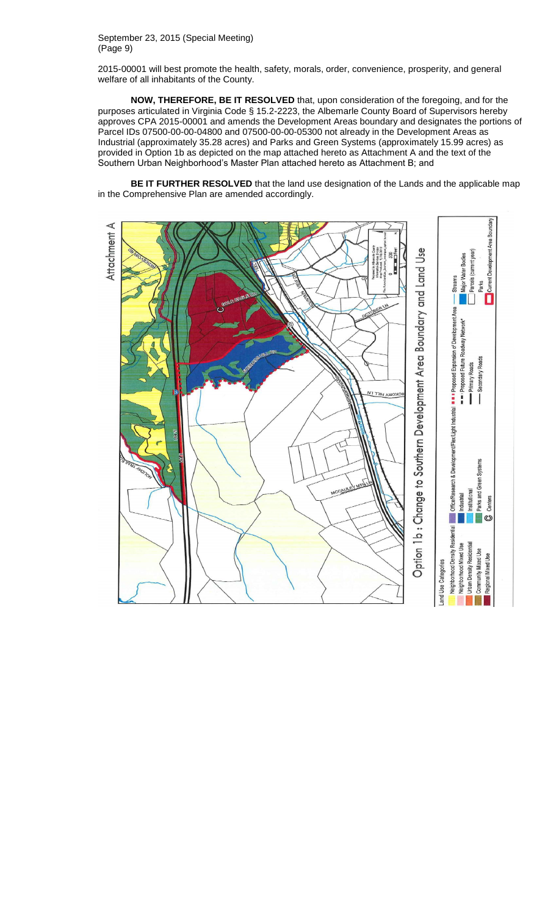September 23, 2015 (Special Meeting) (Page 9)

2015-00001 will best promote the health, safety, morals, order, convenience, prosperity, and general welfare of all inhabitants of the County.

**NOW, THEREFORE, BE IT RESOLVED** that, upon consideration of the foregoing, and for the purposes articulated in Virginia Code § 15.2-2223, the Albemarle County Board of Supervisors hereby approves CPA 2015-00001 and amends the Development Areas boundary and designates the portions of Parcel IDs 07500-00-00-04800 and 07500-00-00-05300 not already in the Development Areas as Industrial (approximately 35.28 acres) and Parks and Green Systems (approximately 15.99 acres) as provided in Option 1b as depicted on the map attached hereto as Attachment A and the text of the Southern Urban Neighborhood's Master Plan attached hereto as Attachment B; and

**BE IT FURTHER RESOLVED** that the land use designation of the Lands and the applicable map in the Comprehensive Plan are amended accordingly.

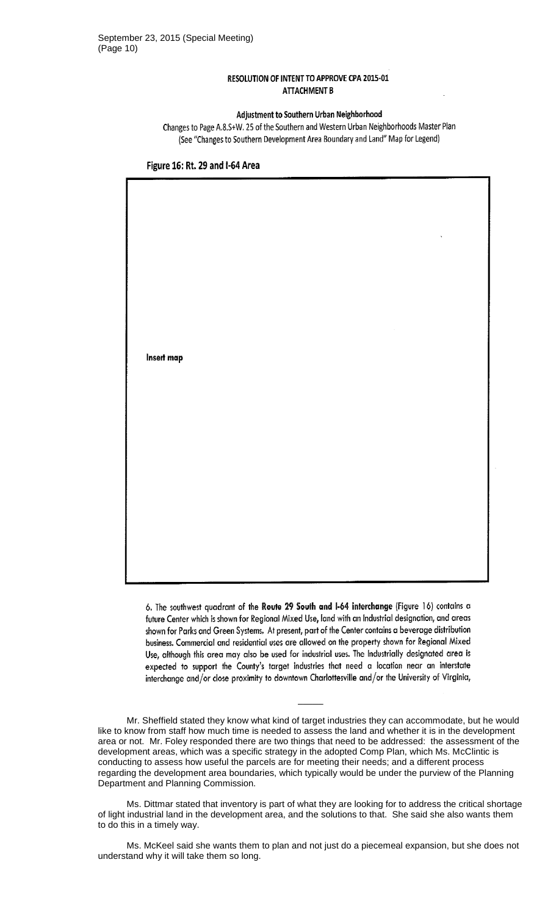# RESOLUTION OF INTENT TO APPROVE CPA 2015-01 **ATTACHMENT B**

# Adjustment to Southern Urban Neighborhood

Changes to Page A.8.S+W. 25 of the Southern and Western Urban Neighborhoods Master Plan (See "Changes to Southern Development Area Boundary and Land" Map for Legend)



Figure 16: Rt. 29 and I-64 Area

6. The southwest quadrant of the Route 29 South and I-64 interchange (Figure 16) contains a future Center which is shown for Regional Mixed Use, land with an Industrial designation, and areas shown for Parks and Green Systems. At present, part of the Center contains a beverage distribution business. Commercial and residential uses are allowed on the property shown for Regional Mixed Use, although this area may also be used for industrial uses. The Industrially designated area is expected to support the County's target industries that need a location near an interstate interchange and/or close proximity to downtown Charlottesville and/or the University of Virginia,

Mr. Sheffield stated they know what kind of target industries they can accommodate, but he would like to know from staff how much time is needed to assess the land and whether it is in the development area or not. Mr. Foley responded there are two things that need to be addressed: the assessment of the development areas, which was a specific strategy in the adopted Comp Plan, which Ms. McClintic is conducting to assess how useful the parcels are for meeting their needs; and a different process regarding the development area boundaries, which typically would be under the purview of the Planning Department and Planning Commission.

 $\overline{\phantom{a}}$ 

Ms. Dittmar stated that inventory is part of what they are looking for to address the critical shortage of light industrial land in the development area, and the solutions to that. She said she also wants them to do this in a timely way.

Ms. McKeel said she wants them to plan and not just do a piecemeal expansion, but she does not understand why it will take them so long.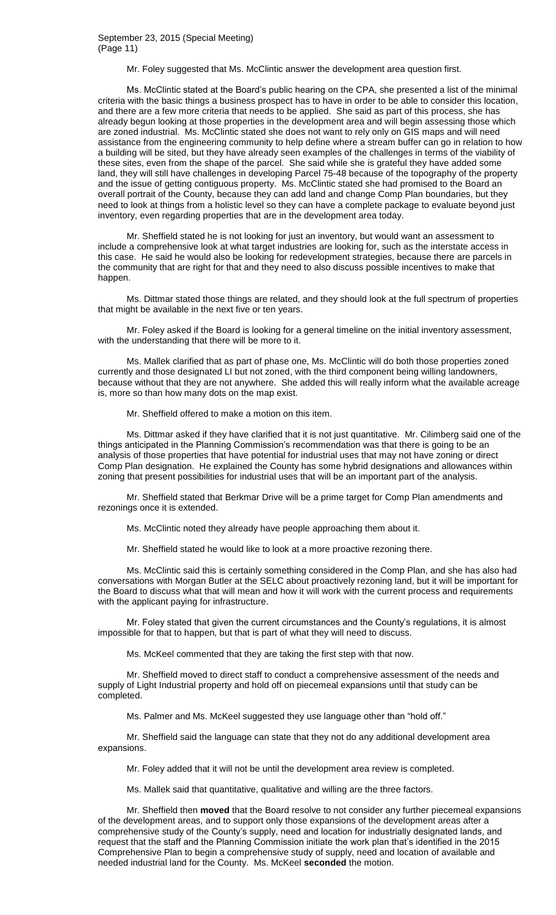Mr. Foley suggested that Ms. McClintic answer the development area question first.

Ms. McClintic stated at the Board's public hearing on the CPA, she presented a list of the minimal criteria with the basic things a business prospect has to have in order to be able to consider this location, and there are a few more criteria that needs to be applied. She said as part of this process, she has already begun looking at those properties in the development area and will begin assessing those which are zoned industrial. Ms. McClintic stated she does not want to rely only on GIS maps and will need assistance from the engineering community to help define where a stream buffer can go in relation to how a building will be sited, but they have already seen examples of the challenges in terms of the viability of these sites, even from the shape of the parcel. She said while she is grateful they have added some land, they will still have challenges in developing Parcel 75-48 because of the topography of the property and the issue of getting contiguous property. Ms. McClintic stated she had promised to the Board an overall portrait of the County, because they can add land and change Comp Plan boundaries, but they need to look at things from a holistic level so they can have a complete package to evaluate beyond just inventory, even regarding properties that are in the development area today.

Mr. Sheffield stated he is not looking for just an inventory, but would want an assessment to include a comprehensive look at what target industries are looking for, such as the interstate access in this case. He said he would also be looking for redevelopment strategies, because there are parcels in the community that are right for that and they need to also discuss possible incentives to make that happen.

Ms. Dittmar stated those things are related, and they should look at the full spectrum of properties that might be available in the next five or ten years.

Mr. Foley asked if the Board is looking for a general timeline on the initial inventory assessment, with the understanding that there will be more to it.

Ms. Mallek clarified that as part of phase one, Ms. McClintic will do both those properties zoned currently and those designated LI but not zoned, with the third component being willing landowners, because without that they are not anywhere. She added this will really inform what the available acreage is, more so than how many dots on the map exist.

Mr. Sheffield offered to make a motion on this item.

Ms. Dittmar asked if they have clarified that it is not just quantitative. Mr. Cilimberg said one of the things anticipated in the Planning Commission's recommendation was that there is going to be an analysis of those properties that have potential for industrial uses that may not have zoning or direct Comp Plan designation. He explained the County has some hybrid designations and allowances within zoning that present possibilities for industrial uses that will be an important part of the analysis.

Mr. Sheffield stated that Berkmar Drive will be a prime target for Comp Plan amendments and rezonings once it is extended.

Ms. McClintic noted they already have people approaching them about it.

Mr. Sheffield stated he would like to look at a more proactive rezoning there.

Ms. McClintic said this is certainly something considered in the Comp Plan, and she has also had conversations with Morgan Butler at the SELC about proactively rezoning land, but it will be important for the Board to discuss what that will mean and how it will work with the current process and requirements with the applicant paying for infrastructure.

Mr. Foley stated that given the current circumstances and the County's regulations, it is almost impossible for that to happen, but that is part of what they will need to discuss.

Ms. McKeel commented that they are taking the first step with that now.

Mr. Sheffield moved to direct staff to conduct a comprehensive assessment of the needs and supply of Light Industrial property and hold off on piecemeal expansions until that study can be completed.

Ms. Palmer and Ms. McKeel suggested they use language other than "hold off."

Mr. Sheffield said the language can state that they not do any additional development area expansions.

Mr. Foley added that it will not be until the development area review is completed.

Ms. Mallek said that quantitative, qualitative and willing are the three factors.

Mr. Sheffield then **moved** that the Board resolve to not consider any further piecemeal expansions of the development areas, and to support only those expansions of the development areas after a comprehensive study of the County's supply, need and location for industrially designated lands, and request that the staff and the Planning Commission initiate the work plan that's identified in the 2015 Comprehensive Plan to begin a comprehensive study of supply, need and location of available and needed industrial land for the County. Ms. McKeel **seconded** the motion.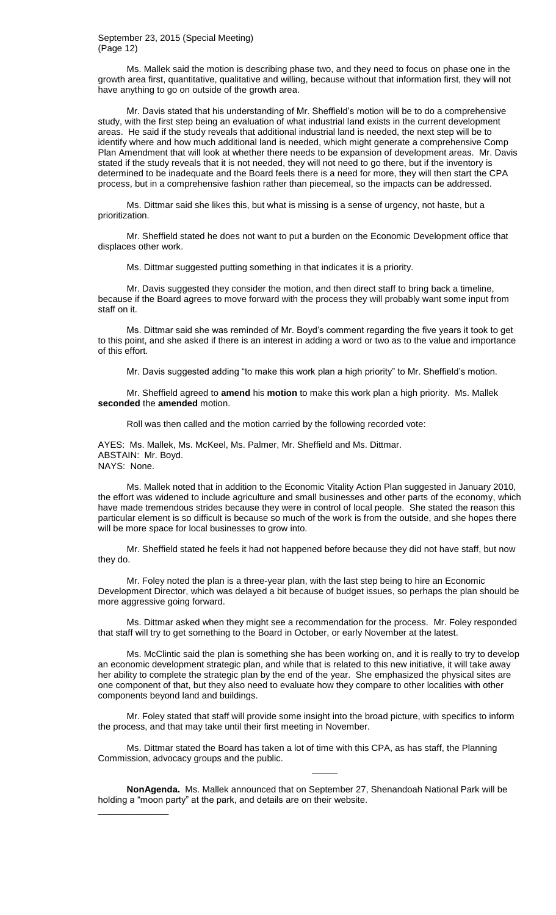# September 23, 2015 (Special Meeting) (Page 12)

Ms. Mallek said the motion is describing phase two, and they need to focus on phase one in the growth area first, quantitative, qualitative and willing, because without that information first, they will not have anything to go on outside of the growth area.

Mr. Davis stated that his understanding of Mr. Sheffield's motion will be to do a comprehensive study, with the first step being an evaluation of what industrial land exists in the current development areas. He said if the study reveals that additional industrial land is needed, the next step will be to identify where and how much additional land is needed, which might generate a comprehensive Comp Plan Amendment that will look at whether there needs to be expansion of development areas. Mr. Davis stated if the study reveals that it is not needed, they will not need to go there, but if the inventory is determined to be inadequate and the Board feels there is a need for more, they will then start the CPA process, but in a comprehensive fashion rather than piecemeal, so the impacts can be addressed.

Ms. Dittmar said she likes this, but what is missing is a sense of urgency, not haste, but a prioritization.

Mr. Sheffield stated he does not want to put a burden on the Economic Development office that displaces other work.

Ms. Dittmar suggested putting something in that indicates it is a priority.

Mr. Davis suggested they consider the motion, and then direct staff to bring back a timeline, because if the Board agrees to move forward with the process they will probably want some input from staff on it.

Ms. Dittmar said she was reminded of Mr. Boyd's comment regarding the five years it took to get to this point, and she asked if there is an interest in adding a word or two as to the value and importance of this effort.

Mr. Davis suggested adding "to make this work plan a high priority" to Mr. Sheffield's motion.

Mr. Sheffield agreed to **amend** his **motion** to make this work plan a high priority. Ms. Mallek **seconded** the **amended** motion.

Roll was then called and the motion carried by the following recorded vote:

AYES: Ms. Mallek, Ms. McKeel, Ms. Palmer, Mr. Sheffield and Ms. Dittmar. ABSTAIN: Mr. Boyd. NAYS: None.

Ms. Mallek noted that in addition to the Economic Vitality Action Plan suggested in January 2010, the effort was widened to include agriculture and small businesses and other parts of the economy, which have made tremendous strides because they were in control of local people. She stated the reason this particular element is so difficult is because so much of the work is from the outside, and she hopes there will be more space for local businesses to grow into.

Mr. Sheffield stated he feels it had not happened before because they did not have staff, but now they do.

Mr. Foley noted the plan is a three-year plan, with the last step being to hire an Economic Development Director, which was delayed a bit because of budget issues, so perhaps the plan should be more aggressive going forward.

Ms. Dittmar asked when they might see a recommendation for the process. Mr. Foley responded that staff will try to get something to the Board in October, or early November at the latest.

Ms. McClintic said the plan is something she has been working on, and it is really to try to develop an economic development strategic plan, and while that is related to this new initiative, it will take away her ability to complete the strategic plan by the end of the year. She emphasized the physical sites are one component of that, but they also need to evaluate how they compare to other localities with other components beyond land and buildings.

Mr. Foley stated that staff will provide some insight into the broad picture, with specifics to inform the process, and that may take until their first meeting in November.

Ms. Dittmar stated the Board has taken a lot of time with this CPA, as has staff, the Planning Commission, advocacy groups and the public.

**NonAgenda.** Ms. Mallek announced that on September 27, Shenandoah National Park will be holding a "moon party" at the park, and details are on their website.

\_\_\_\_\_\_\_\_\_\_\_\_\_\_

 $\overline{\phantom{a}}$